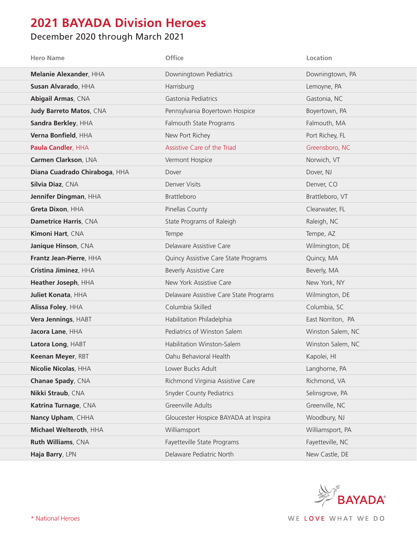## **2021 BAYADA Division Heroes**

## December 2020 through March 2021

| <b>Hero Name</b>               | <b>Office</b>                          | Location          |
|--------------------------------|----------------------------------------|-------------------|
| Melanie Alexander, HHA         | Downingtown Pediatrics                 | Downingtown, PA   |
| Susan Alvarado, HHA            | Harrisburg                             | Lemoyne, PA       |
| Abigail Armas, CNA             | Gastonia Pediatrics                    | Gastonia, NC      |
| <b>Judy Barreto Matos, CNA</b> | Pennsylvania Boyertown Hospice         | Boyertown, PA     |
| Sandra Berkley, HHA            | Falmouth State Programs                | Falmouth, MA      |
| Verna Bonfield, HHA            | New Port Richey                        | Port Richey, FL   |
| Paula Candler, HHA             | Assistive Care of the Triad            | Greensboro, NC    |
| Carmen Clarkson, LNA           | Vermont Hospice                        | Norwich, VT       |
| Diana Cuadrado Chiraboga, HHA  | Dover                                  | Dover, NJ         |
| Silvia Diaz, CNA               | Denver Visits                          | Denver, CO        |
| Jennifer Dingman, HHA          | <b>Brattleboro</b>                     | Brattleboro, VT   |
| Greta Dixon, HHA               | Pinellas County                        | Clearwater, FL    |
| Dametrice Harris, CNA          | State Programs of Raleigh              | Raleigh, NC       |
| Kimoni Hart, CNA               | Tempe                                  | Tempe, AZ         |
| Janique Hinson, CNA            | Delaware Assistive Care                | Wilmington, DE    |
| Frantz Jean-Pierre, HHA        | Quincy Assistive Care State Programs   | Quincy, MA        |
| Cristina Jiminez, HHA          | <b>Beverly Assistive Care</b>          | Beverly, MA       |
| Heather Joseph, HHA            | New York Assistive Care                | New York, NY      |
| <b>Juliet Konata, HHA</b>      | Delaware Assistive Care State Programs | Wilmington, DE    |
| Alissa Foley, HHA              | Columbia Skilled                       | Columbia, SC      |
| Vera Jennings, HABT            | Habilitation Philadelphia              | East Norriton, PA |
| Jacora Lane, HHA               | Pediatrics of Winston Salem            | Winston Salem, NC |
| Latora Long, HABT              | Habilitation Winston-Salem             | Winston Salem, NC |
| Keenan Meyer, RBT              | Oahu Behavioral Health                 | Kapolei, HI       |
| Nicolie Nicolas, HHA           | Lower Bucks Adult                      | Langhorne, PA     |
| Chanae Spady, CNA              | Richmond Virginia Assistive Care       | Richmond, VA      |
| Nikki Straub, CNA              | <b>Snyder County Pediatrics</b>        | Selinsgrove, PA   |
| Katrina Turnage, CNA           | <b>Greenville Adults</b>               | Greenville, NC    |
| Nancy Upham, CHHA              | Gloucester Hospice BAYADA at Inspira   | Woodbury, NJ      |
| Michael Welteroth, HHA         | Williamsport                           | Williamsport, PA  |
| Ruth Williams, CNA             | Fayetteville State Programs            | Fayetteville, NC  |
| Haja Barry, LPN                | Delaware Pediatric North               | New Castle, DE    |

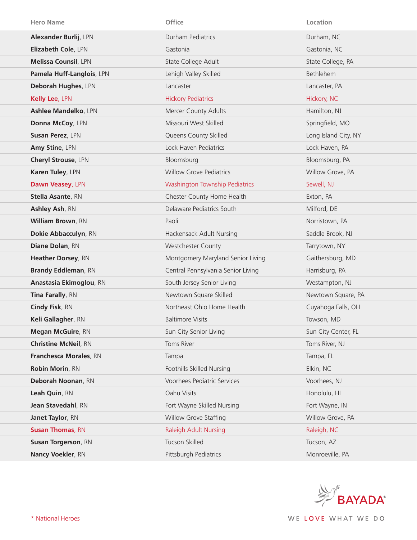| <b>Hero Name</b>               | <b>Office</b>                      | Location             |
|--------------------------------|------------------------------------|----------------------|
| Alexander Burlij, LPN          | Durham Pediatrics                  | Durham, NC           |
| Elizabeth Cole, LPN            | Gastonia                           | Gastonia, NC         |
| <b>Melissa Counsil, LPN</b>    | State College Adult                | State College, PA    |
| Pamela Huff-Langlois, LPN      | Lehigh Valley Skilled              | Bethlehem            |
| Deborah Hughes, LPN            | Lancaster                          | Lancaster, PA        |
| Kelly Lee, LPN                 | <b>Hickory Pediatrics</b>          | Hickory, NC          |
| Ashlee Mandelko, LPN           | Mercer County Adults               | Hamilton, NJ         |
| Donna McCoy, LPN               | Missouri West Skilled              | Springfield, MO      |
| Susan Perez, LPN               | Queens County Skilled              | Long Island City, NY |
| Amy Stine, LPN                 | Lock Haven Pediatrics              | Lock Haven, PA       |
| Cheryl Strouse, LPN            | Bloomsburg                         | Bloomsburg, PA       |
| Karen Tuley, LPN               | <b>Willow Grove Pediatrics</b>     | Willow Grove, PA     |
| Dawn Veasey, LPN               | Washington Township Pediatrics     | Sewell, NJ           |
| <b>Stella Asante, RN</b>       | Chester County Home Health         | Exton, PA            |
| Ashley Ash, RN                 | Delaware Pediatrics South          | Milford, DE          |
| <b>William Brown, RN</b>       | Paoli                              | Norristown, PA       |
| Dokie Abbacculyn, RN           | Hackensack Adult Nursing           | Saddle Brook, NJ     |
| Diane Dolan, RN                | Westchester County                 | Tarrytown, NY        |
| Heather Dorsey, RN             | Montgomery Maryland Senior Living  | Gaithersburg, MD     |
| <b>Brandy Eddleman, RN</b>     | Central Pennsylvania Senior Living | Harrisburg, PA       |
| <b>Anastasia Ekimoglou, RN</b> | South Jersey Senior Living         | Westampton, NJ       |
| Tina Farally, RN               | Newtown Square Skilled             | Newtown Square, PA   |
| Cindy Fisk, RN                 | Northeast Ohio Home Health         | Cuyahoga Falls, OH   |
| Keli Gallagher, RN             | <b>Baltimore Visits</b>            | Towson, MD           |
| <b>Megan McGuire, RN</b>       | Sun City Senior Living             | Sun City Center, FL  |
| <b>Christine McNeil, RN</b>    | Toms River                         | Toms River, NJ       |
| Franchesca Morales, RN         | Tampa                              | Tampa, FL            |
| Robin Morin, RN                | Foothills Skilled Nursing          | Elkin, NC            |
| Deborah Noonan, RN             | Voorhees Pediatric Services        | Voorhees, NJ         |
| Leah Quin, RN                  | Oahu Visits                        | Honolulu, HI         |
| Jean Stavedahl, RN             | Fort Wayne Skilled Nursing         | Fort Wayne, IN       |
| Janet Taylor, RN               | Willow Grove Staffing              | Willow Grove, PA     |
| <b>Susan Thomas, RN</b>        | <b>Raleigh Adult Nursing</b>       | Raleigh, NC          |
| <b>Susan Torgerson, RN</b>     | Tucson Skilled                     | Tucson, AZ           |
| Nancy Voekler, RN              | Pittsburgh Pediatrics              | Monroeville, PA      |